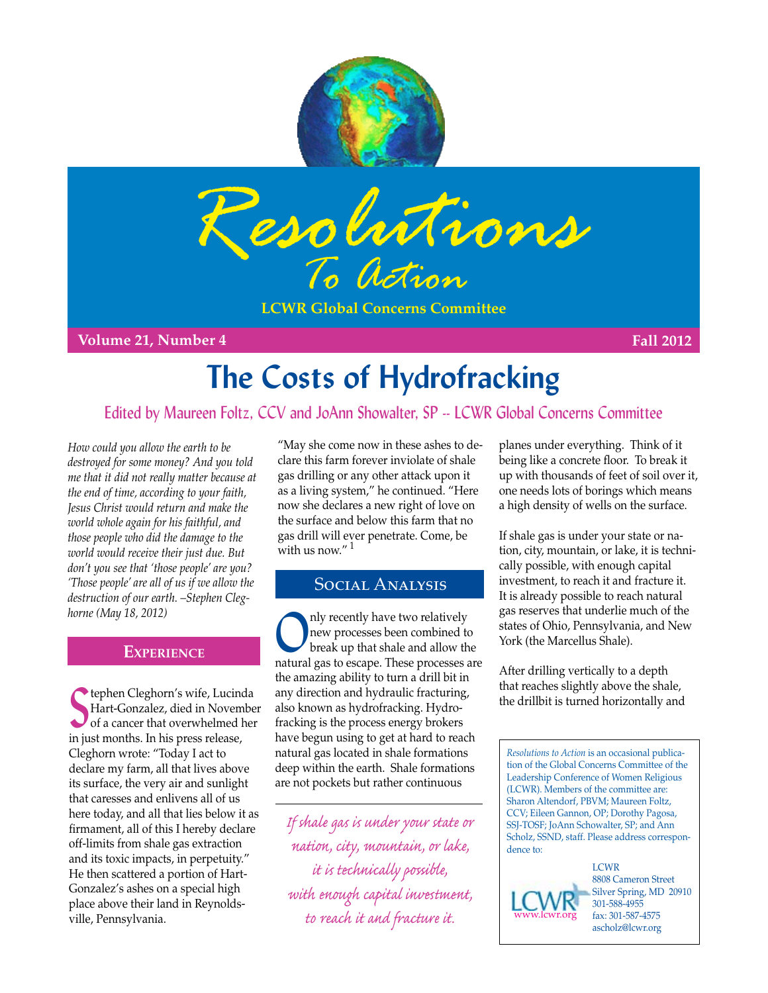



**LCWR Global Concerns Committee**

**Volume 21, Number 4 Fall 2012**

# **The Costs of Hydrofracking**

# Edited by Maureen Foltz, CCV and JoAnn Showalter, SP -- LCWR Global Concerns Committee

*How could you allow the earth to be destroyed for some money? And you told me that it did not really matter because at the end of time, according to your faith, Jesus Christ would return and make the world whole again for his faithful, and those people who did the damage to the world would receive their just due. But don't you see that 'those people' are you? 'Those people' are all of us if we allow the destruction of our earth. –Stephen Cleghorne (May 18, 2012)*

## **Experience**

**S** tephen Cleghorn's wife, Lucinc<br>
Hart-Gonzalez, died in Novem<br>
of a cancer that overwhelmed h<br>
in just months. In his press release, tephen Cleghorn's wife, Lucinda Hart-Gonzalez, died in November of a cancer that overwhelmed her Cleghorn wrote: "Today I act to declare my farm, all that lives above its surface, the very air and sunlight that caresses and enlivens all of us here today, and all that lies below it as firmament, all of this I hereby declare off-limits from shale gas extraction and its toxic impacts, in perpetuity." He then scattered a portion of Hart-Gonzalez's ashes on a special high place above their land in Reynoldsville, Pennsylvania.

"May she come now in these ashes to declare this farm forever inviolate of shale gas drilling or any other attack upon it as a living system," he continued. "Here now she declares a new right of love on the surface and below this farm that no gas drill will ever penetrate. Come, be with us now."  $^{\rm 1}$ 

#### Social Analysis

Only recently have two relatively<br>
break up that shale and allow the<br>
break up that shale and allow the new processes been combined to natural gas to escape. These processes are the amazing ability to turn a drill bit in any direction and hydraulic fracturing, also known as hydrofracking. Hydrofracking is the process energy brokers have begun using to get at hard to reach natural gas located in shale formations deep within the earth. Shale formations are not pockets but rather continuous

*If shale gas is under your state or nation, city, mountain, or lake, it is technically possible, with enough capital investment, to reach it and fracture it.*

planes under everything. Think of it being like a concrete floor. To break it up with thousands of feet of soil over it, one needs lots of borings which means a high density of wells on the surface.

If shale gas is under your state or nation, city, mountain, or lake, it is technically possible, with enough capital investment, to reach it and fracture it. It is already possible to reach natural gas reserves that underlie much of the states of Ohio, Pennsylvania, and New York (the Marcellus Shale).

After drilling vertically to a depth that reaches slightly above the shale, the drillbit is turned horizontally and

*Resolutions to Action* is an occasional publication of the Global Concerns Committee of the Leadership Conference of Women Religious (LCWR). Members of the committee are: Sharon Altendorf, PBVM; Maureen Foltz, CCV; Eileen Gannon, OP; Dorothy Pagosa, SSJ-TOSF; JoAnn Schowalter, SP; and Ann Scholz, SSND, staff. Please address correspondence to:

**LCWR** 8808 Cameron Street Silver Spring, MD 20910 301-588-4955 fax: 301-587-4575 ascholz@lcwr.org [www.lcwr.org](http://www.lcwr.org)